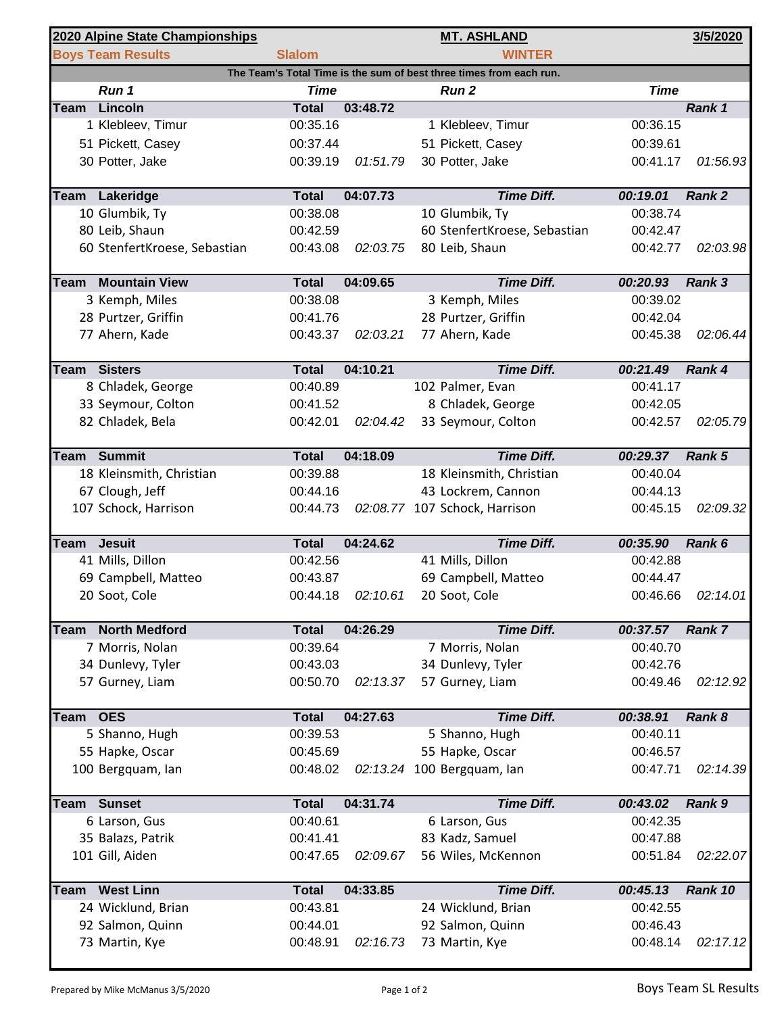| 2020 Alpine State Championships                                     |                              |               |          | <b>MT. ASHLAND</b>            |             | 3/5/2020      |  |  |  |  |
|---------------------------------------------------------------------|------------------------------|---------------|----------|-------------------------------|-------------|---------------|--|--|--|--|
|                                                                     | <b>Boys Team Results</b>     | <b>Slalom</b> |          | <b>WINTER</b>                 |             |               |  |  |  |  |
| The Team's Total Time is the sum of best three times from each run. |                              |               |          |                               |             |               |  |  |  |  |
|                                                                     | Run 1                        | <b>Time</b>   |          | Run <sub>2</sub>              | <b>Time</b> |               |  |  |  |  |
| Team                                                                | Lincoln                      | <b>Total</b>  | 03:48.72 |                               |             | Rank 1        |  |  |  |  |
|                                                                     | 1 Klebleev, Timur            | 00:35.16      |          | 1 Klebleev, Timur             | 00:36.15    |               |  |  |  |  |
|                                                                     | 51 Pickett, Casey            | 00:37.44      |          | 51 Pickett, Casey             | 00:39.61    |               |  |  |  |  |
|                                                                     | 30 Potter, Jake              | 00:39.19      | 01:51.79 | 30 Potter, Jake               | 00:41.17    | 01:56.93      |  |  |  |  |
|                                                                     |                              |               |          |                               |             |               |  |  |  |  |
|                                                                     | Team Lakeridge               | <b>Total</b>  | 04:07.73 | <b>Time Diff.</b>             | 00:19.01    | <b>Rank 2</b> |  |  |  |  |
|                                                                     | 10 Glumbik, Ty               | 00:38.08      |          | 10 Glumbik, Ty                | 00:38.74    |               |  |  |  |  |
|                                                                     | 80 Leib, Shaun               | 00:42.59      |          | 60 StenfertKroese, Sebastian  | 00:42.47    |               |  |  |  |  |
|                                                                     | 60 StenfertKroese, Sebastian | 00:43.08      | 02:03.75 | 80 Leib, Shaun                | 00:42.77    | 02:03.98      |  |  |  |  |
|                                                                     |                              |               |          |                               |             |               |  |  |  |  |
|                                                                     | <b>Team</b> Mountain View    | <b>Total</b>  | 04:09.65 | <b>Time Diff.</b>             | 00:20.93    | Rank 3        |  |  |  |  |
|                                                                     | 3 Kemph, Miles               | 00:38.08      |          | 3 Kemph, Miles                | 00:39.02    |               |  |  |  |  |
|                                                                     | 28 Purtzer, Griffin          | 00:41.76      |          | 28 Purtzer, Griffin           | 00:42.04    |               |  |  |  |  |
|                                                                     | 77 Ahern, Kade               | 00:43.37      | 02:03.21 | 77 Ahern, Kade                | 00:45.38    | 02:06.44      |  |  |  |  |
|                                                                     | <b>Team Sisters</b>          | <b>Total</b>  | 04:10.21 | <b>Time Diff.</b>             | 00:21.49    | Rank 4        |  |  |  |  |
|                                                                     |                              | 00:40.89      |          |                               | 00:41.17    |               |  |  |  |  |
|                                                                     | 8 Chladek, George            |               |          | 102 Palmer, Evan              |             |               |  |  |  |  |
|                                                                     | 33 Seymour, Colton           | 00:41.52      |          | 8 Chladek, George             | 00:42.05    |               |  |  |  |  |
|                                                                     | 82 Chladek, Bela             | 00:42.01      | 02:04.42 | 33 Seymour, Colton            | 00:42.57    | 02:05.79      |  |  |  |  |
|                                                                     | Team Summit                  | <b>Total</b>  | 04:18.09 | <b>Time Diff.</b>             | 00:29.37    | Rank 5        |  |  |  |  |
|                                                                     | 18 Kleinsmith, Christian     | 00:39.88      |          | 18 Kleinsmith, Christian      | 00:40.04    |               |  |  |  |  |
|                                                                     | 67 Clough, Jeff              | 00:44.16      |          | 43 Lockrem, Cannon            | 00:44.13    |               |  |  |  |  |
|                                                                     | 107 Schock, Harrison         | 00:44.73      |          | 02:08.77 107 Schock, Harrison | 00:45.15    | 02:09.32      |  |  |  |  |
|                                                                     |                              |               |          |                               |             |               |  |  |  |  |
| Team                                                                | <b>Jesuit</b>                | <b>Total</b>  | 04:24.62 | <b>Time Diff.</b>             | 00:35.90    | Rank 6        |  |  |  |  |
|                                                                     | 41 Mills, Dillon             | 00:42.56      |          | 41 Mills, Dillon              | 00:42.88    |               |  |  |  |  |
|                                                                     | 69 Campbell, Matteo          | 00:43.87      |          | 69 Campbell, Matteo           | 00:44.47    |               |  |  |  |  |
|                                                                     | 20 Soot, Cole                | 00:44.18      | 02:10.61 | 20 Soot, Cole                 | 00:46.66    | 02:14.01      |  |  |  |  |
|                                                                     |                              |               |          |                               |             |               |  |  |  |  |
| Team                                                                | <b>North Medford</b>         | <b>Total</b>  | 04:26.29 | <b>Time Diff.</b>             | 00:37.57    | <b>Rank 7</b> |  |  |  |  |
|                                                                     | 7 Morris, Nolan              | 00:39.64      |          | 7 Morris, Nolan               | 00:40.70    |               |  |  |  |  |
|                                                                     | 34 Dunlevy, Tyler            | 00:43.03      |          | 34 Dunlevy, Tyler             | 00:42.76    |               |  |  |  |  |
|                                                                     | 57 Gurney, Liam              | 00:50.70      | 02:13.37 | 57 Gurney, Liam               | 00:49.46    | 02:12.92      |  |  |  |  |
|                                                                     |                              |               |          |                               |             |               |  |  |  |  |
| Team                                                                | <b>OES</b>                   | <b>Total</b>  | 04:27.63 | <b>Time Diff.</b>             | 00:38.91    | Rank 8        |  |  |  |  |
|                                                                     | 5 Shanno, Hugh               | 00:39.53      |          | 5 Shanno, Hugh                | 00:40.11    |               |  |  |  |  |
|                                                                     | 55 Hapke, Oscar              | 00:45.69      |          | 55 Hapke, Oscar               | 00:46.57    |               |  |  |  |  |
|                                                                     | 100 Bergquam, lan            | 00:48.02      |          | 02:13.24 100 Bergquam, lan    | 00:47.71    | 02:14.39      |  |  |  |  |
|                                                                     |                              |               |          |                               |             |               |  |  |  |  |
| Team                                                                | <b>Sunset</b>                | <b>Total</b>  | 04:31.74 | <b>Time Diff.</b>             | 00:43.02    | Rank 9        |  |  |  |  |
|                                                                     | 6 Larson, Gus                | 00:40.61      |          | 6 Larson, Gus                 | 00:42.35    |               |  |  |  |  |
|                                                                     | 35 Balazs, Patrik            | 00:41.41      |          | 83 Kadz, Samuel               | 00:47.88    |               |  |  |  |  |
|                                                                     | 101 Gill, Aiden              | 00:47.65      | 02:09.67 | 56 Wiles, McKennon            | 00:51.84    | 02:22.07      |  |  |  |  |
|                                                                     |                              |               |          |                               |             |               |  |  |  |  |
| <b>Team</b>                                                         | <b>West Linn</b>             | <b>Total</b>  | 04:33.85 | <b>Time Diff.</b>             | 00:45.13    | Rank 10       |  |  |  |  |
|                                                                     | 24 Wicklund, Brian           | 00:43.81      |          | 24 Wicklund, Brian            | 00:42.55    |               |  |  |  |  |
|                                                                     | 92 Salmon, Quinn             | 00:44.01      |          | 92 Salmon, Quinn              | 00:46.43    |               |  |  |  |  |
|                                                                     | 73 Martin, Kye               | 00:48.91      | 02:16.73 | 73 Martin, Kye                | 00:48.14    | 02:17.12      |  |  |  |  |
|                                                                     |                              |               |          |                               |             |               |  |  |  |  |